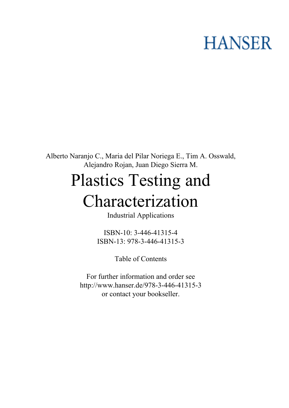## **HANSER**

**Alberto Naranjo C., Maria del Pilar Noriega E., Tim A. Osswald, Alejandro Rojan, Juan Diego Sierra M.**

## **Plastics Testing and Characterization**

**Industrial Applications**

**ISBN-10: 3-446-41315-4 ISBN-13: 978-3-446-41315-3**

**Table of Contents**

**For further information and order see <http://www.hanser.de/978-3-446-41315-3> or contact your bookseller.**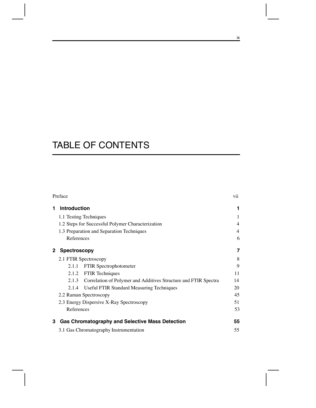## TABLE OF CONTENTS

| Preface |                                                                          |                |  |  |
|---------|--------------------------------------------------------------------------|----------------|--|--|
| 1       | <b>Introduction</b>                                                      | 1              |  |  |
|         | 1.1 Testing Techniques                                                   |                |  |  |
|         | 1.2 Steps for Successful Polymer Characterization                        | $\overline{4}$ |  |  |
|         | 1.3 Preparation and Separation Techniques                                |                |  |  |
|         | References                                                               | 6              |  |  |
|         | <b>Spectroscopy</b>                                                      | 7              |  |  |
|         | 2.1 FTIR Spectroscopy                                                    |                |  |  |
|         | FTIR Spectrophotometer<br>2.1.1                                          | 9              |  |  |
|         | <b>FTIR Techniques</b><br>2.1.2                                          | 11             |  |  |
|         | Correlation of Polymer and Additives Structure and FTIR Spectra<br>2.1.3 | 14             |  |  |
|         | 2.1.4<br>Useful FTIR Standard Measuring Techniques                       | 20             |  |  |
|         | 2.2 Raman Spectroscopy                                                   |                |  |  |
|         | 2.3 Energy Dispersive X-Ray Spectroscopy                                 |                |  |  |
|         | References                                                               | 53             |  |  |
| 3       | <b>Gas Chromatography and Selective Mass Detection</b>                   | 55             |  |  |
|         | 3.1 Gas Chromatography Instrumentation                                   | 55             |  |  |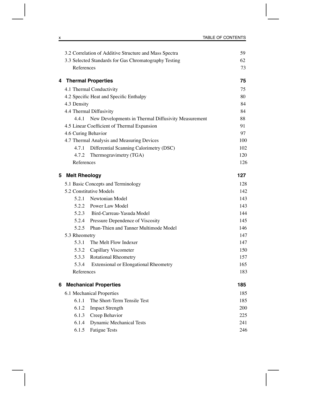|   |                      | 3.2 Correlation of Additive Structure and Mass Spectra | 59  |
|---|----------------------|--------------------------------------------------------|-----|
|   |                      | 3.3 Selected Standards for Gas Chromatography Testing  | 62  |
|   | References           |                                                        | 73  |
| 4 |                      | <b>Thermal Properties</b>                              | 75  |
|   |                      | 4.1 Thermal Conductivity                               | 75  |
|   |                      | 4.2 Specific Heat and Specific Enthalpy                | 80  |
|   | 4.3 Density          |                                                        | 84  |
|   |                      | 4.4 Thermal Diffusivity                                | 84  |
|   | 4.4.1                | New Developments in Thermal Diffusivity Measurement    | 88  |
|   |                      | 4.5 Linear Coefficient of Thermal Expansion            | 91  |
|   | 4.6 Curing Behavior  | 97                                                     |     |
|   |                      | 4.7 Thermal Analysis and Measuring Devices             | 100 |
|   |                      | 4.7.1 Differential Scanning Calorimetry (DSC)          | 102 |
|   | 4.7.2                | Thermogravimetry (TGA)                                 | 120 |
|   | References           |                                                        | 126 |
| 5 | <b>Melt Rheology</b> |                                                        | 127 |
|   |                      | 5.1 Basic Concepts and Terminology                     | 128 |
|   |                      | 5.2 Constitutive Models                                | 142 |
|   |                      | 5.2.1 Newtonian Model                                  | 143 |
|   |                      | 5.2.2 Power Law Model                                  | 143 |
|   |                      | 5.2.3 Bird-Carreau-Yasuda Model                        | 144 |
|   |                      | 5.2.4 Pressure Dependence of Viscosity                 | 145 |
|   | 5.2.5                | Phan-Thien and Tanner Multimode Model                  | 146 |
|   | 5.3 Rheometry        |                                                        | 147 |
|   | 5.3.1                | The Melt Flow Indexer                                  | 147 |
|   | 5.3.2                | Capillary Viscometer                                   | 150 |
|   |                      | 5.3.3 Rotational Rheometry                             | 157 |
|   | 5.3.4                | <b>Extensional or Elongational Rheometry</b>           | 165 |
|   | References           |                                                        | 183 |
| 6 |                      | <b>Mechanical Properties</b>                           | 185 |
|   |                      | 6.1 Mechanical Properties                              |     |
|   | 6.1.1                | The Short-Term Tensile Test                            | 185 |
|   | 6.1.2                | <b>Impact Strength</b>                                 | 200 |
|   | 6.1.3                | Creep Behavior                                         | 225 |
|   | 6.1.4                | <b>Dynamic Mechanical Tests</b>                        | 241 |
|   | 6.1.5                | <b>Fatigue Tests</b>                                   | 246 |